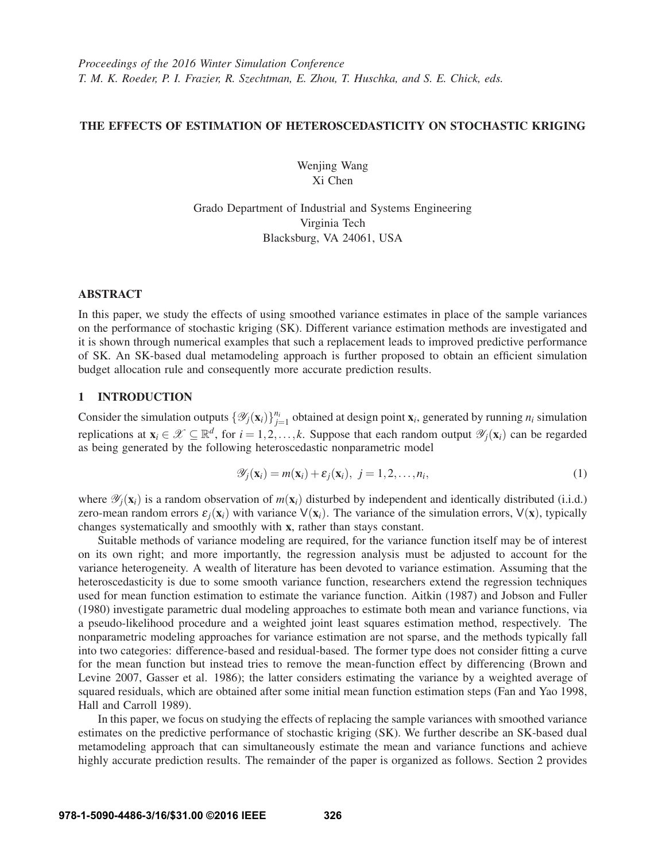## THE EFFECTS OF ESTIMATION OF HETEROSCEDASTICITY ON STOCHASTIC KRIGING

Wenjing Wang Xi Chen

Grado Department of Industrial and Systems Engineering Virginia Tech Blacksburg, VA 24061, USA

## ABSTRACT

In this paper, we study the effects of using smoothed variance estimates in place of the sample variances on the performance of stochastic kriging (SK). Different variance estimation methods are investigated and it is shown through numerical examples that such a replacement leads to improved predictive performance of SK. An SK-based dual metamodeling approach is further proposed to obtain an efficient simulation budget allocation rule and consequently more accurate prediction results.

## 1 INTRODUCTION

Consider the simulation outputs  $\{\mathcal{Y}_j(\mathbf{x}_i)\}_{j=1}^{n_i}$  obtained at design point  $\mathbf{x}_i$ , generated by running  $n_i$  simulation replications at  $\mathbf{x}_i \in \mathcal{X} \subseteq \mathbb{R}^d$ , for  $i = 1, 2, ..., k$ . Suppose that each random output  $\mathcal{Y}_i(\mathbf{x}_i)$  can be regarded as being generated by the following heteroscedastic nonparametric model

$$
\mathscr{Y}_j(\mathbf{x}_i) = m(\mathbf{x}_i) + \varepsilon_j(\mathbf{x}_i), \ j = 1, 2, \dots, n_i,
$$
\n(1)

where  $\mathscr{Y}_i(\mathbf{x}_i)$  is a random observation of  $m(\mathbf{x}_i)$  disturbed by independent and identically distributed (i.i.d.) zero-mean random errors  $\varepsilon_i(\mathbf{x}_i)$  with variance  $V(\mathbf{x}_i)$ . The variance of the simulation errors,  $V(\mathbf{x})$ , typically changes systematically and smoothly with x, rather than stays constant.

Suitable methods of variance modeling are required, for the variance function itself may be of interest on its own right; and more importantly, the regression analysis must be adjusted to account for the variance heterogeneity. A wealth of literature has been devoted to variance estimation. Assuming that the heteroscedasticity is due to some smooth variance function, researchers extend the regression techniques used for mean function estimation to estimate the variance function. Aitkin (1987) and Jobson and Fuller (1980) investigate parametric dual modeling approaches to estimate both mean and variance functions, via a pseudo-likelihood procedure and a weighted joint least squares estimation method, respectively. The nonparametric modeling approaches for variance estimation are not sparse, and the methods typically fall into two categories: difference-based and residual-based. The former type does not consider fitting a curve for the mean function but instead tries to remove the mean-function effect by differencing (Brown and Levine 2007, Gasser et al. 1986); the latter considers estimating the variance by a weighted average of squared residuals, which are obtained after some initial mean function estimation steps (Fan and Yao 1998, Hall and Carroll 1989).

In this paper, we focus on studying the effects of replacing the sample variances with smoothed variance estimates on the predictive performance of stochastic kriging (SK). We further describe an SK-based dual metamodeling approach that can simultaneously estimate the mean and variance functions and achieve highly accurate prediction results. The remainder of the paper is organized as follows. Section 2 provides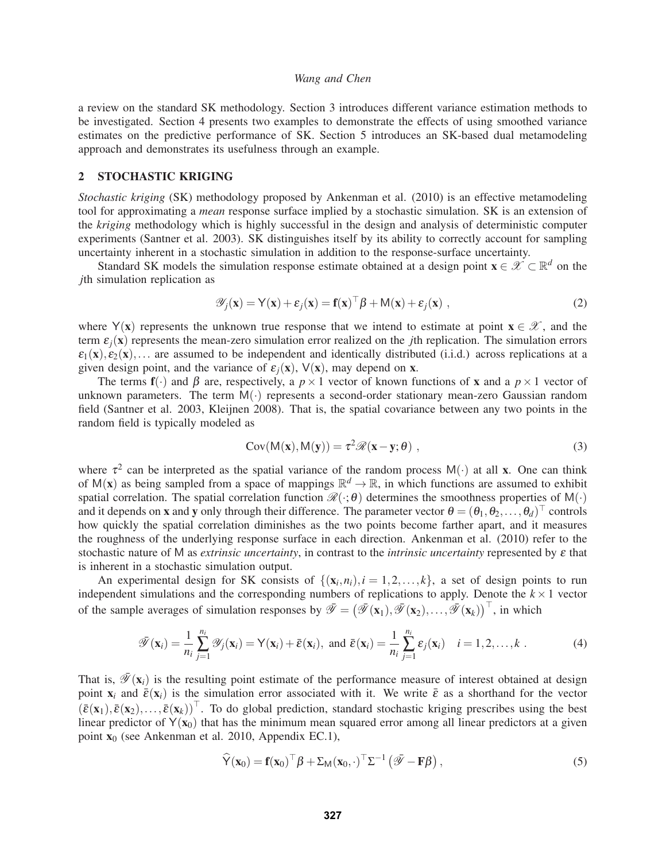a review on the standard SK methodology. Section 3 introduces different variance estimation methods to be investigated. Section 4 presents two examples to demonstrate the effects of using smoothed variance estimates on the predictive performance of SK. Section 5 introduces an SK-based dual metamodeling approach and demonstrates its usefulness through an example.

# 2 STOCHASTIC KRIGING

*Stochastic kriging* (SK) methodology proposed by Ankenman et al. (2010) is an effective metamodeling tool for approximating a *mean* response surface implied by a stochastic simulation. SK is an extension of the *kriging* methodology which is highly successful in the design and analysis of deterministic computer experiments (Santner et al. 2003). SK distinguishes itself by its ability to correctly account for sampling uncertainty inherent in a stochastic simulation in addition to the response-surface uncertainty.

Standard SK models the simulation response estimate obtained at a design point  $\mathbf{x} \in \mathcal{X} \subset \mathbb{R}^d$  on the *j*th simulation replication as

$$
\mathscr{Y}_j(\mathbf{x}) = \mathsf{Y}(\mathbf{x}) + \varepsilon_j(\mathbf{x}) = \mathbf{f}(\mathbf{x})^\top \boldsymbol{\beta} + \mathsf{M}(\mathbf{x}) + \varepsilon_j(\mathbf{x}) , \qquad (2)
$$

where Y(x) represents the unknown true response that we intend to estimate at point  $x \in \mathcal{X}$ , and the term  $\varepsilon_i(x)$  represents the mean-zero simulation error realized on the *j*th replication. The simulation errors  $\varepsilon_1(\mathbf{x}), \varepsilon_2(\mathbf{x}), \ldots$  are assumed to be independent and identically distributed (i.i.d.) across replications at a given design point, and the variance of  $\varepsilon_i(x)$ ,  $V(x)$ , may depend on x.

The terms  $f(\cdot)$  and  $\beta$  are, respectively, a  $p \times 1$  vector of known functions of x and a  $p \times 1$  vector of unknown parameters. The term  $M(.)$  represents a second-order stationary mean-zero Gaussian random field (Santner et al. 2003, Kleijnen 2008). That is, the spatial covariance between any two points in the random field is typically modeled as

$$
Cov(M(x), M(y)) = \tau^2 \mathcal{R}(x - y; \theta) ,
$$
 (3)

where  $\tau^2$  can be interpreted as the spatial variance of the random process M(·) at all **x**. One can think of  $M(x)$  as being sampled from a space of mappings  $\mathbb{R}^d \to \mathbb{R}$ , in which functions are assumed to exhibit spatial correlation. The spatial correlation function  $\mathcal{R}(\cdot;\theta)$  determines the smoothness properties of M(·) and it depends on x and y only through their difference. The parameter vector  $\theta = (\theta_1, \theta_2, \dots, \theta_d)^\top$  controls how quickly the spatial correlation diminishes as the two points become farther apart, and it measures the roughness of the underlying response surface in each direction. Ankenman et al. (2010) refer to the stochastic nature of M as *extrinsic uncertainty*, in contrast to the *intrinsic uncertainty* represented by ε that is inherent in a stochastic simulation output.

An experimental design for SK consists of  $\{(x_i, n_i), i = 1, 2, ..., k\}$ , a set of design points to run independent simulations and the corresponding numbers of replications to apply. Denote the  $k \times 1$  vector of the sample averages of simulation responses by  $\bar{\mathscr{Y}} = (\bar{\mathscr{Y}}(x_1), \bar{\mathscr{Y}}(x_2), \ldots, \bar{\mathscr{Y}}(x_k))^{\top}$ , in which

$$
\bar{\mathscr{Y}}(\mathbf{x}_i) = \frac{1}{n_i} \sum_{j=1}^{n_i} \mathscr{Y}_j(\mathbf{x}_i) = \mathsf{Y}(\mathbf{x}_i) + \bar{\varepsilon}(\mathbf{x}_i), \text{ and } \bar{\varepsilon}(\mathbf{x}_i) = \frac{1}{n_i} \sum_{j=1}^{n_i} \varepsilon_j(\mathbf{x}_i) \quad i = 1, 2, \dots, k . \tag{4}
$$

That is,  $\bar{\mathcal{Y}}(\mathbf{x}_i)$  is the resulting point estimate of the performance measure of interest obtained at design point  $x_i$  and  $\bar{\varepsilon}(x_i)$  is the simulation error associated with it. We write  $\bar{\varepsilon}$  as a shorthand for the vector  $(\bar{\varepsilon}(\mathbf{x}_1), \bar{\varepsilon}(\mathbf{x}_2),..., \bar{\varepsilon}(\mathbf{x}_k))^{\top}$ . To do global prediction, standard stochastic kriging prescribes using the best linear predictor of  $Y(x_0)$  that has the minimum mean squared error among all linear predictors at a given point  $x_0$  (see Ankenman et al. 2010, Appendix EC.1),

$$
\widehat{\mathsf{Y}}(\mathbf{x}_0) = \mathbf{f}(\mathbf{x}_0)^\top \boldsymbol{\beta} + \Sigma_{\mathsf{M}}(\mathbf{x}_0, \cdot)^\top \Sigma^{-1} (\bar{\mathscr{Y}} - \mathbf{F} \boldsymbol{\beta}), \tag{5}
$$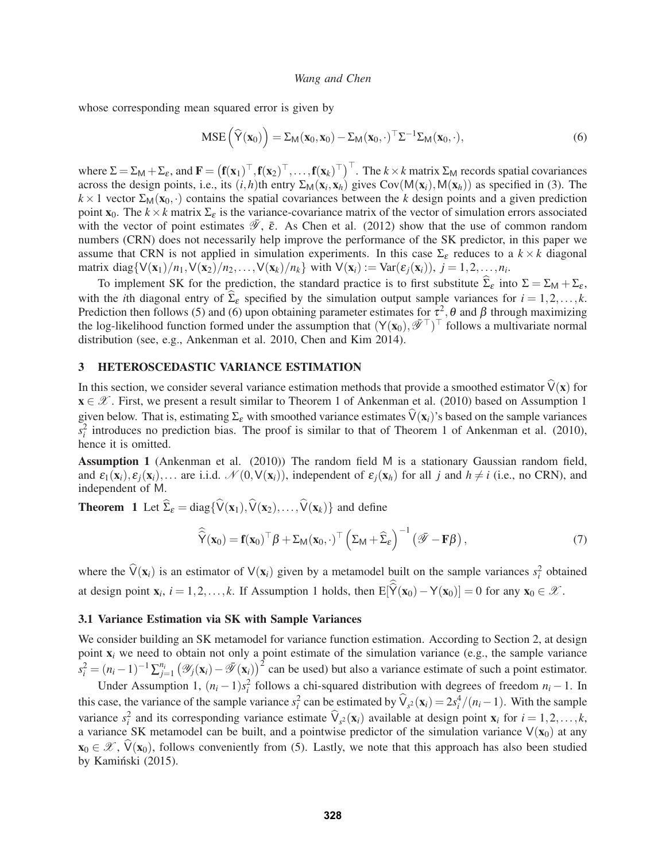whose corresponding mean squared error is given by

$$
MSE\left(\widehat{Y}(\mathbf{x}_0)\right) = \Sigma_M(\mathbf{x}_0, \mathbf{x}_0) - \Sigma_M(\mathbf{x}_0, \cdot)^{\top} \Sigma^{-1} \Sigma_M(\mathbf{x}_0, \cdot), \tag{6}
$$

where  $\Sigma = \Sigma_M + \Sigma_{\varepsilon}$ , and  $\mathbf{F} = (\mathbf{f}(\mathbf{x}_1)^{\top}, \mathbf{f}(\mathbf{x}_2)^{\top}, \dots, \mathbf{f}(\mathbf{x}_k)^{\top})^{\top}$ . The  $k \times k$  matrix  $\Sigma_M$  records spatial covariances across the design points, i.e., its  $(i, h)$ th entry  $\Sigma_M(\mathbf{x}_i, \mathbf{x}_h)$  gives Cov( $M(\mathbf{x}_i), M(\mathbf{x}_h)$ ) as specified in (3). The  $k \times 1$  vector  $\Sigma_M(\mathbf{x}_0, \cdot)$  contains the spatial covariances between the *k* design points and a given prediction point  $\mathbf{x}_0$ . The  $k \times k$  matrix  $\Sigma_{\varepsilon}$  is the variance-covariance matrix of the vector of simulation errors associated with the vector of point estimates  $\mathscr{Y}, \bar{\varepsilon}$ . As Chen et al. (2012) show that the use of common random numbers (CRN) does not necessarily help improve the performance of the SK predictor, in this paper we assume that CRN is not applied in simulation experiments. In this case  $\Sigma_{\varepsilon}$  reduces to a  $k \times k$  diagonal matrix diag $\{V(\mathbf{x}_1)/n_1, V(\mathbf{x}_2)/n_2,\ldots, V(\mathbf{x}_k)/n_k\}$  with  $V(\mathbf{x}_i) := \text{Var}(\varepsilon_j(\mathbf{x}_i)), j = 1, 2, \ldots, n_i$ .

To implement SK for the prediction, the standard practice is to first substitute  $\Sigma_{\varepsilon}$  into  $\Sigma = \Sigma_{\mathsf{M}} + \Sigma_{\varepsilon}$ , with the *i*th diagonal entry of  $\Sigma_{\varepsilon}$  specified by the simulation output sample variances for  $i = 1, 2, ..., k$ . Prediction then follows (5) and (6) upon obtaining parameter estimates for  $\tau^2$ ,  $\theta$  and  $\beta$  through maximizing the log-likelihood function formed under the assumption that  $(Y(\mathbf{x}_0), \bar{\mathcal{F}}^{\top})^{\top}$  follows a multivariate normal distribution (see, e.g., Ankenman et al. 2010, Chen and Kim 2014).

#### 3 HETEROSCEDASTIC VARIANCE ESTIMATION

In this section, we consider several variance estimation methods that provide a smoothed estimator  $V(x)$  for  $\mathbf{x} \in \mathcal{X}$ . First, we present a result similar to Theorem 1 of Ankenman et al. (2010) based on Assumption 1 given below. That is, estimating  $\Sigma_{\epsilon}$  with smoothed variance estimates  $\hat{V}(x_i)$ 's based on the sample variances  $s_i^2$  introduces no prediction bias. The proof is similar to that of Theorem 1 of Ankenman et al. (2010), hence it is omitted.

Assumption 1 (Ankenman et al. (2010)) The random field M is a stationary Gaussian random field, and  $\varepsilon_1(\mathbf{x}_i), \varepsilon_2(\mathbf{x}_i), \dots$  are i.i.d.  $\mathcal{N}(0, V(\mathbf{x}_i))$ , independent of  $\varepsilon_i(\mathbf{x}_h)$  for all *j* and  $h \neq i$  (i.e., no CRN), and independent of M.

**Theorem 1** Let  $\hat{\Sigma}_{\varepsilon} = \text{diag}\{\hat{V}(\mathbf{x}_1), \hat{V}(\mathbf{x}_2), \dots, \hat{V}(\mathbf{x}_k)\}\$ and define

$$
\widehat{\widehat{\mathsf{Y}}}(\mathbf{x}_0) = \mathbf{f}(\mathbf{x}_0)^\top \boldsymbol{\beta} + \Sigma_{\mathsf{M}}(\mathbf{x}_0, \cdot)^\top \left( \Sigma_{\mathsf{M}} + \widehat{\Sigma}_{\varepsilon} \right)^{-1} \left( \bar{\mathscr{P}} - \mathbf{F} \boldsymbol{\beta} \right),\tag{7}
$$

where the  $\hat{V}(x_i)$  is an estimator of  $V(x_i)$  given by a metamodel built on the sample variances  $s_i^2$  obtained at design point  $\mathbf{x}_i$ ,  $i = 1, 2, ..., k$ . If Assumption 1 holds, then  $E[Y(\mathbf{x}_0) - Y(\mathbf{x}_0)] = 0$  for any  $\mathbf{x}_0 \in \mathcal{X}$ .

#### 3.1 Variance Estimation via SK with Sample Variances

We consider building an SK metamodel for variance function estimation. According to Section 2, at design point x*<sup>i</sup>* we need to obtain not only a point estimate of the simulation variance (e.g., the sample variance  $s_i^2 = (n_i - 1)^{-1} \sum_{j=1}^{n_i} (\mathcal{Y}_j(\mathbf{x}_i) - \bar{\mathcal{Y}}(\mathbf{x}_i))^2$  can be used) but also a variance estimate of such a point estimator.

Under Assumption 1,  $(n_i - 1)s_i^2$  follows a chi-squared distribution with degrees of freedom  $n_i - 1$ . In this case, the variance of the sample variance  $s_i^2$  can be estimated by  $\hat{V}_{s^2}(\mathbf{x}_i) = 2s_i^4/(n_i-1)$ . With the sample variance  $s_i^2$  and its corresponding variance estimate  $\hat{V}_{s^2}(\mathbf{x}_i)$  available at design point  $\mathbf{x}_i$  for  $i = 1, 2, ..., k$ , a variance SK metamodel can be built, and a pointwise predictor of the simulation variance  $V(x_0)$  at any  $\mathbf{x}_0 \in \mathcal{X}$ ,  $\hat{V}(\mathbf{x}_0)$ , follows conveniently from (5). Lastly, we note that this approach has also been studied by Kamiński (2015).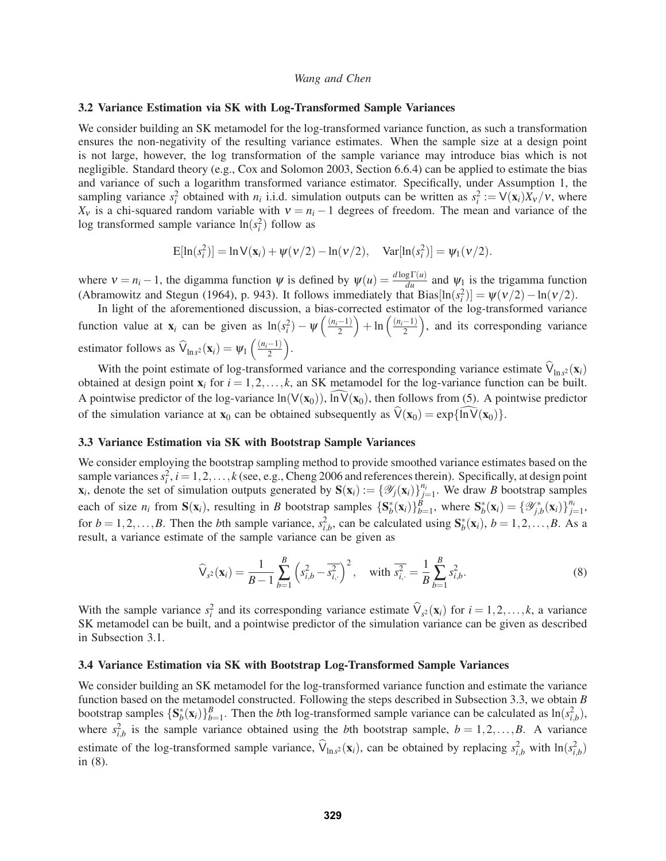#### 3.2 Variance Estimation via SK with Log-Transformed Sample Variances

We consider building an SK metamodel for the log-transformed variance function, as such a transformation ensures the non-negativity of the resulting variance estimates. When the sample size at a design point is not large, however, the log transformation of the sample variance may introduce bias which is not negligible. Standard theory (e.g., Cox and Solomon 2003, Section 6.6.4) can be applied to estimate the bias and variance of such a logarithm transformed variance estimator. Specifically, under Assumption 1, the sampling variance  $s_i^2$  obtained with  $n_i$  i.i.d. simulation outputs can be written as  $s_i^2 := V(\mathbf{x}_i)X_v/v$ , where  $X_v$  is a chi-squared random variable with  $v = n_i - 1$  degrees of freedom. The mean and variance of the log transformed sample variance  $\ln(s_i^2)$  follow as

$$
E[\ln(s_i^2)] = \ln V(\mathbf{x}_i) + \psi(v/2) - \ln(v/2), \quad \text{Var}[\ln(s_i^2)] = \psi_1(v/2).
$$

where  $v = n_i - 1$ , the digamma function  $\psi$  is defined by  $\psi(u) = \frac{d \log \Gamma(u)}{du}$  and  $\psi_1$  is the trigamma function (Abramowitz and Stegun (1964), p. 943). It follows immediately that  $Bias[ln(s_i^2)] = \psi(v/2) - ln(v/2)$ .

In light of the aforementioned discussion, a bias-corrected estimator of the log-transformed variance function value at  $\mathbf{x}_i$  can be given as  $\ln(s_i^2) - \psi\left(\frac{(n_i-1)}{2}\right)$  $\bigg) + \ln\left(\frac{(n_i-1)}{2}\right)$ ), and its corresponding variance estimator follows as  $\hat{\mathsf{V}}_{\ln s^2}(\mathbf{x}_i) = \psi_1\left(\frac{(n_i-1)}{2}\right)$ .

With the point estimate of log-transformed variance and the corresponding variance estimate  $\hat{V}_{\ln s^2}(\mathbf{x}_i)$ obtained at design point  $x_i$  for  $i = 1, 2, \ldots, k$ , an SK metamodel for the log-variance function can be built. A pointwise predictor of the log-variance  $\ln(V(x_0))$ ,  $\ln V(x_0)$ , then follows from (5). A pointwise predictor of the simulation variance at  $\mathbf{x}_0$  can be obtained subsequently as  $\hat{V}(\mathbf{x}_0) = \exp{\{\hat{\mathbf{ln}V}(\mathbf{x}_0)\}}$ .

# 3.3 Variance Estimation via SK with Bootstrap Sample Variances

We consider employing the bootstrap sampling method to provide smoothed variance estimates based on the sample variances  $s_i^2$ ,  $i = 1, 2, ..., k$  (see, e.g., Cheng 2006 and references therein). Specifically, at design point  $\mathbf{x}_i$ , denote the set of simulation outputs generated by  $\mathbf{S}(\mathbf{x}_i) := \{ \mathcal{Y}_j(\mathbf{x}_i) \}_{j=1}^{n_i}$ . We draw *B* bootstrap samples each of size  $n_i$  from  $S(x_i)$ , resulting in *B* bootstrap samples  $\{S_b^*(x_i)\}_{b=1}^B$ , where  $S_b^*(x_i) = \{\mathscr{Y}_{j,b}^*(x_i)\}_{j=1}^{n_i}$ , for  $b = 1, 2, \ldots, B$ . Then the *b*th sample variance,  $s_{i,b}^2$ , can be calculated using  $S_b^*(x_i)$ ,  $b = 1, 2, \ldots, B$ . As a result, a variance estimate of the sample variance can be given as

$$
\widehat{\mathsf{V}}_{s^2}(\mathbf{x}_i) = \frac{1}{B-1} \sum_{b=1}^{B} \left( s_{i,b}^2 - \overline{s_{i,}^2} \right)^2, \quad \text{with } \overline{s_{i,}^2} = \frac{1}{B} \sum_{b=1}^{B} s_{i,b}^2. \tag{8}
$$

With the sample variance  $s_i^2$  and its corresponding variance estimate  $\hat{V}_{s^2}(\mathbf{x}_i)$  for  $i = 1, 2, ..., k$ , a variance SK metamodel can be built, and a pointwise predictor of the simulation variance can be given as described in Subsection 3.1.

#### 3.4 Variance Estimation via SK with Bootstrap Log-Transformed Sample Variances

We consider building an SK metamodel for the log-transformed variance function and estimate the variance function based on the metamodel constructed. Following the steps described in Subsection 3.3, we obtain *B* bootstrap samples  $\{S_b^*(x_i)\}_{b=1}^B$ . Then the *b*th log-transformed sample variance can be calculated as  $\ln(s_{i,b}^2)$ , where  $s_{i,b}^2$  is the sample variance obtained using the *b*th bootstrap sample,  $b = 1, 2, ..., B$ . A variance estimate of the log-transformed sample variance,  $\hat{V}_{\ln s^2}(\mathbf{x}_i)$ , can be obtained by replacing  $s^2_{i,b}$  with  $\ln(s^2_{i,b})$ in (8).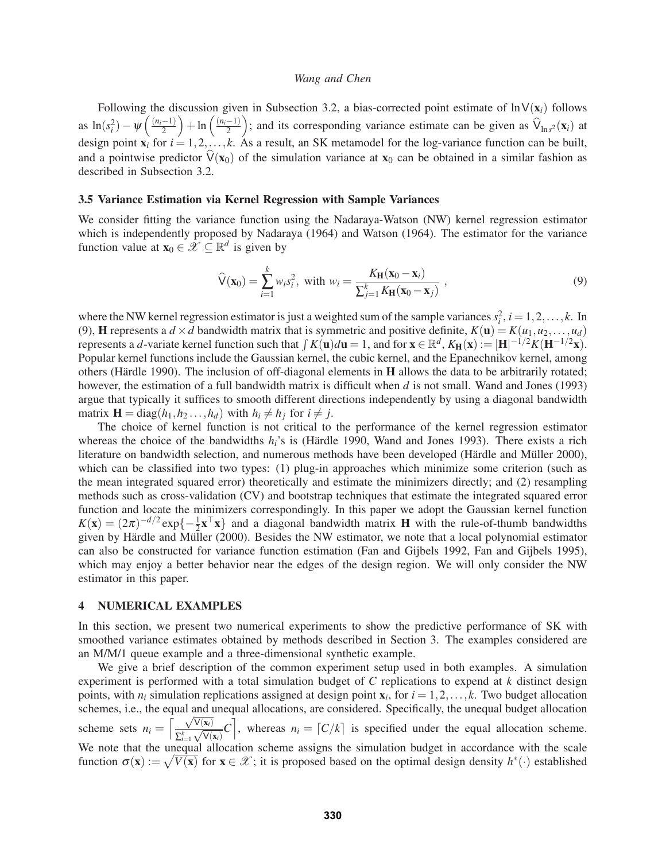Following the discussion given in Subsection 3.2, a bias-corrected point estimate of  $\ln V(\mathbf{x}_i)$  follows as  $\ln(s_i^2) - \psi\left(\frac{(n_i-1)}{2}\right)$  $\bigg) + \ln\left(\frac{(n_i-1)}{2}\right)$ ); and its corresponding variance estimate can be given as  $\hat{V}_{\text{ln}s^2}(\mathbf{x}_i)$  at design point  $\mathbf{x}_i$  for  $i = 1, 2, \ldots, k$ . As a result, an SK metamodel for the log-variance function can be built, and a pointwise predictor  $V(x_0)$  of the simulation variance at  $x_0$  can be obtained in a similar fashion as described in Subsection 3.2.

#### 3.5 Variance Estimation via Kernel Regression with Sample Variances

We consider fitting the variance function using the Nadaraya-Watson (NW) kernel regression estimator which is independently proposed by Nadaraya (1964) and Watson (1964). The estimator for the variance function value at  $\mathbf{x}_0 \in \mathcal{X} \subseteq \mathbb{R}^d$  is given by

$$
\widehat{\mathsf{V}}(\mathbf{x}_0) = \sum_{i=1}^{k} w_i s_i^2, \text{ with } w_i = \frac{K_{\mathbf{H}}(\mathbf{x}_0 - \mathbf{x}_i)}{\sum_{j=1}^{k} K_{\mathbf{H}}(\mathbf{x}_0 - \mathbf{x}_j)},
$$
\n(9)

where the NW kernel regression estimator is just a weighted sum of the sample variances  $s_i^2$ ,  $i = 1, 2, \ldots, k$ . In (9), **H** represents a  $d \times d$  bandwidth matrix that is symmetric and positive definite,  $K(\mathbf{u}) = K(u_1, u_2, \dots, u_d)$ represents a *d*-variate kernel function such that  $\int K(\mathbf{u}) d\mathbf{u} = 1$ , and for  $\mathbf{x} \in \mathbb{R}^d$ ,  $K_H(\mathbf{x}) := |\mathbf{H}|^{-1/2} K(\mathbf{H}^{-1/2}\mathbf{x})$ . Popular kernel functions include the Gaussian kernel, the cubic kernel, and the Epanechnikov kernel, among others (Härdle 1990). The inclusion of off-diagonal elements in  **allows the data to be arbitrarily rotated;** however, the estimation of a full bandwidth matrix is difficult when *d* is not small. Wand and Jones (1993) argue that typically it suffices to smooth different directions independently by using a diagonal bandwidth matrix  $\mathbf{H} = \text{diag}(h_1, h_2, \ldots, h_d)$  with  $h_i \neq h_j$  for  $i \neq j$ .

The choice of kernel function is not critical to the performance of the kernel regression estimator whereas the choice of the bandwidths  $h_i$ 's is (Härdle 1990, Wand and Jones 1993). There exists a rich literature on bandwidth selection, and numerous methods have been developed (Härdle and Müller 2000), which can be classified into two types: (1) plug-in approaches which minimize some criterion (such as the mean integrated squared error) theoretically and estimate the minimizers directly; and (2) resampling methods such as cross-validation (CV) and bootstrap techniques that estimate the integrated squared error function and locate the minimizers correspondingly. In this paper we adopt the Gaussian kernel function  $K(\mathbf{x})=(2\pi)^{-d/2} \exp\{-\frac{1}{2}\mathbf{x}^\top \mathbf{x}\}\$ and a diagonal bandwidth matrix **H** with the rule-of-thumb bandwidths given by Härdle and Müller (2000). Besides the NW estimator, we note that a local polynomial estimator can also be constructed for variance function estimation (Fan and Gijbels 1992, Fan and Gijbels 1995), which may enjoy a better behavior near the edges of the design region. We will only consider the NW estimator in this paper.

## 4 NUMERICAL EXAMPLES

In this section, we present two numerical experiments to show the predictive performance of SK with smoothed variance estimates obtained by methods described in Section 3. The examples considered are an M/M/1 queue example and a three-dimensional synthetic example.

We give a brief description of the common experiment setup used in both examples. A simulation experiment is performed with a total simulation budget of *C* replications to expend at *k* distinct design points, with  $n_i$  simulation replications assigned at design point  $\mathbf{x}_i$ , for  $i = 1, 2, \ldots, k$ . Two budget allocation schemes, i.e., the equal and unequal allocations, are considered. Specifically, the unequal budget allocation scheme sets  $n_i = \left[\frac{\sqrt{V(x_i)}}{\sqrt{V(x_i)}}\right]$  $\left[\frac{\sqrt{V(x_i)}}{\sum_{i=1}^k \sqrt{V(x_i)}}C\right]$ , whereas  $n_i = \lfloor C/k \rfloor$  is specified under the equal allocation scheme. We note that the unequal allocation scheme assigns the simulation budget in accordance with the scale function  $\sigma(\mathbf{x}) := \sqrt{V(\mathbf{x})}$  for  $\mathbf{x} \in \mathcal{X}$ ; it is proposed based on the optimal design density  $h^*(\cdot)$  established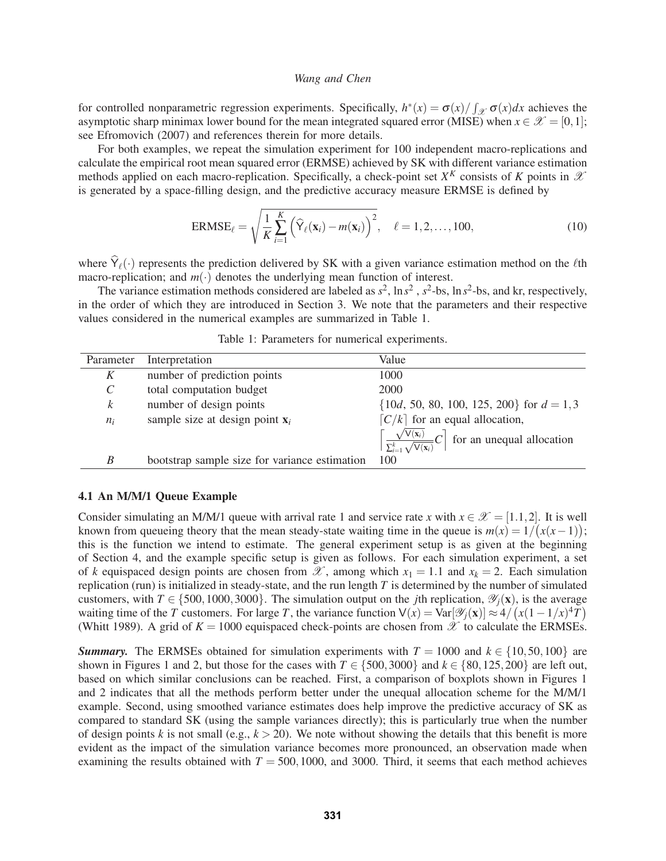for controlled nonparametric regression experiments. Specifically,  $h^*(x) = \sigma(x)/\int_{\mathcal{X}} \sigma(x)dx$  achieves the asymptotic sharp minimax lower bound for the mean integrated squared error (MISE) when  $x \in \mathcal{X} = [0,1]$ ; see Efromovich (2007) and references therein for more details.

For both examples, we repeat the simulation experiment for 100 independent macro-replications and calculate the empirical root mean squared error (ERMSE) achieved by SK with different variance estimation methods applied on each macro-replication. Specifically, a check-point set  $X^K$  consists of K points in  $\mathscr X$ is generated by a space-filling design, and the predictive accuracy measure ERMSE is defined by

$$
ERMSE_{\ell} = \sqrt{\frac{1}{K} \sum_{i=1}^{K} \left( \widehat{Y}_{\ell}(\mathbf{x}_i) - m(\mathbf{x}_i) \right)^2}, \quad \ell = 1, 2, \dots, 100,
$$
\n(10)

where  $Y_{\ell}(\cdot)$  represents the prediction delivered by SK with a given variance estimation method on the  $\ell$ th macro-replication; and  $m(\cdot)$  denotes the underlying mean function of interest.

The variance estimation methods considered are labeled as  $s^2$ ,  $\ln s^2$ ,  $s^2$ -bs,  $\ln s^2$ -bs, and kr, respectively, in the order of which they are introduced in Section 3. We note that the parameters and their respective values considered in the numerical examples are summarized in Table 1.

| Parameter             | Interpretation                                | Value                                                                                        |
|-----------------------|-----------------------------------------------|----------------------------------------------------------------------------------------------|
| K                     | number of prediction points                   | 1000                                                                                         |
| $\mathcal{C}_{0}^{0}$ | total computation budget                      | 2000                                                                                         |
| $\boldsymbol{k}$      | number of design points                       | $\{10d, 50, 80, 100, 125, 200\}$ for $d = 1, 3$                                              |
| $n_i$                 | sample size at design point $x_i$             | $[C/k]$ for an equal allocation,                                                             |
|                       |                                               | $\left[\frac{\sqrt{V(x_i)}}{\sum_{i=1}^{k} \sqrt{V(x_i)}}C\right]$ for an unequal allocation |
| B                     | bootstrap sample size for variance estimation | 100                                                                                          |

Table 1: Parameters for numerical experiments.

## 4.1 An M/M/1 Queue Example

Consider simulating an M/M/1 queue with arrival rate 1 and service rate *x* with  $x \in \mathcal{X} = [1.1, 2]$ . It is well known from queueing theory that the mean steady-state waiting time in the queue is  $m(x) = 1/(x(x-1))$ ; this is the function we intend to estimate. The general experiment setup is as given at the beginning of Section 4, and the example specific setup is given as follows. For each simulation experiment, a set of *k* equispaced design points are chosen from  $\mathscr X$ , among which  $x_1 = 1.1$  and  $x_k = 2$ . Each simulation replication (run) is initialized in steady-state, and the run length *T* is determined by the number of simulated customers, with  $T \in \{500, 1000, 3000\}$ . The simulation output on the *j*th replication,  $\mathcal{Y}_i(\mathbf{x})$ , is the average waiting time of the *T* customers. For large *T*, the variance function  $V(x) = Var[\mathcal{Y}_j(x)] \approx 4/(x(1-1/x)^4T)$ (Whitt 1989). A grid of  $K = 1000$  equispaced check-points are chosen from  $\mathscr X$  to calculate the ERMSEs.

*Summary.* The ERMSEs obtained for simulation experiments with  $T = 1000$  and  $k \in \{10, 50, 100\}$  are shown in Figures 1 and 2, but those for the cases with  $T \in \{500, 3000\}$  and  $k \in \{80, 125, 200\}$  are left out, based on which similar conclusions can be reached. First, a comparison of boxplots shown in Figures 1 and 2 indicates that all the methods perform better under the unequal allocation scheme for the M/M/1 example. Second, using smoothed variance estimates does help improve the predictive accuracy of SK as compared to standard SK (using the sample variances directly); this is particularly true when the number of design points *k* is not small (e.g.,  $k > 20$ ). We note without showing the details that this benefit is more evident as the impact of the simulation variance becomes more pronounced, an observation made when examining the results obtained with  $T = 500, 1000$ , and 3000. Third, it seems that each method achieves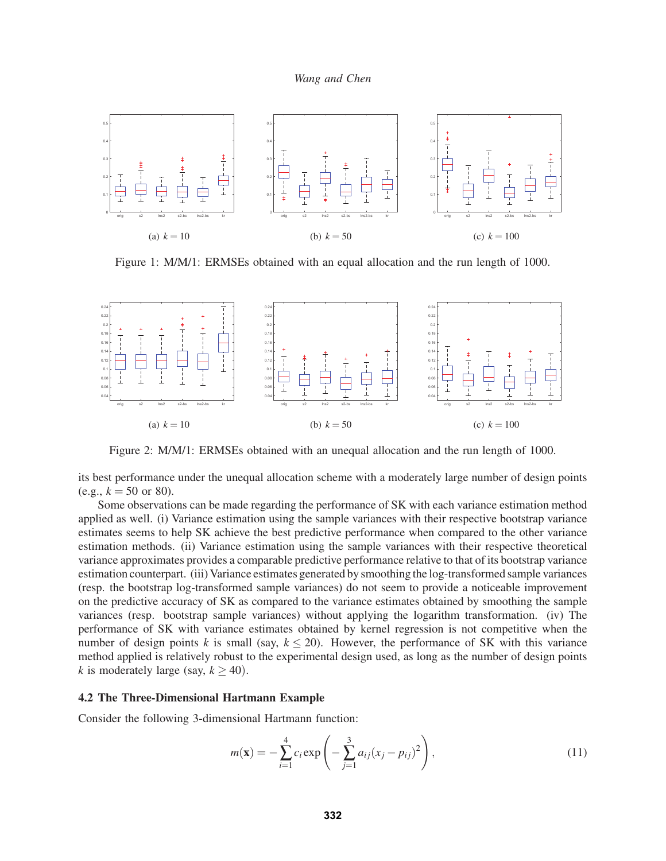

Figure 1: M/M/1: ERMSEs obtained with an equal allocation and the run length of 1000.



Figure 2: M/M/1: ERMSEs obtained with an unequal allocation and the run length of 1000.

its best performance under the unequal allocation scheme with a moderately large number of design points (e.g.,  $k = 50$  or 80).

Some observations can be made regarding the performance of SK with each variance estimation method applied as well. (i) Variance estimation using the sample variances with their respective bootstrap variance estimates seems to help SK achieve the best predictive performance when compared to the other variance estimation methods. (ii) Variance estimation using the sample variances with their respective theoretical variance approximates provides a comparable predictive performance relative to that of its bootstrap variance estimation counterpart. (iii) Variance estimates generated by smoothing the log-transformed sample variances (resp. the bootstrap log-transformed sample variances) do not seem to provide a noticeable improvement on the predictive accuracy of SK as compared to the variance estimates obtained by smoothing the sample variances (resp. bootstrap sample variances) without applying the logarithm transformation. (iv) The performance of SK with variance estimates obtained by kernel regression is not competitive when the number of design points *k* is small (say,  $k \le 20$ ). However, the performance of SK with this variance method applied is relatively robust to the experimental design used, as long as the number of design points *k* is moderately large (say,  $k > 40$ ).

#### 4.2 The Three-Dimensional Hartmann Example

Consider the following 3-dimensional Hartmann function:

$$
m(\mathbf{x}) = -\sum_{i=1}^{4} c_i \exp\left(-\sum_{j=1}^{3} a_{ij}(x_j - p_{ij})^2\right),\tag{11}
$$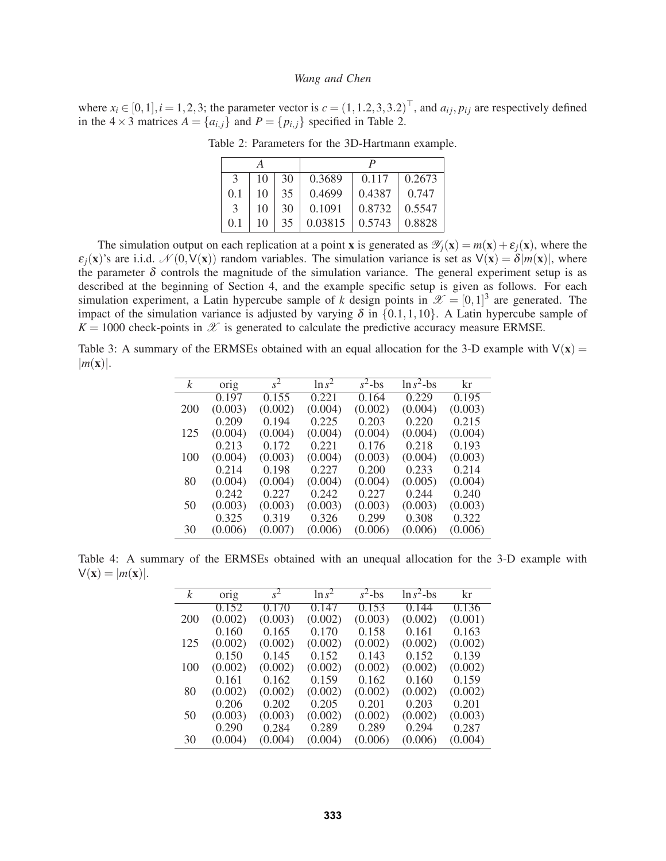where  $x_i \in [0,1], i = 1,2,3$ ; the parameter vector is  $c = (1,1.2,3,3.2)$ , and  $a_{ij}, p_{ij}$  are respectively defined in the  $4 \times 3$  matrices  $A = \{a_{i,j}\}\$  and  $P = \{p_{i,j}\}\$  specified in Table 2.

| А             |    |    |         |        |        |  |
|---------------|----|----|---------|--------|--------|--|
| 3             | 10 | 30 | 0.3689  | 0.117  | 0.2673 |  |
| 0.1           | 10 | 35 | 0.4699  | 0.4387 | 0.747  |  |
| $\mathcal{E}$ | 10 | 30 | 0.1091  | 0.8732 | 0.5547 |  |
| 0.1           | 10 | 35 | 0.03815 | 0.5743 | 0.8828 |  |

Table 2: Parameters for the 3D-Hartmann example.

The simulation output on each replication at a point x is generated as  $\mathcal{Y}_i(\mathbf{x}) = m(\mathbf{x}) + \varepsilon_i(\mathbf{x})$ , where the  $\varepsilon_i(x)$ 's are i.i.d.  $\mathcal{N}(0, V(x))$  random variables. The simulation variance is set as  $V(x) = \delta |m(x)|$ , where the parameter  $\delta$  controls the magnitude of the simulation variance. The general experiment setup is as described at the beginning of Section 4, and the example specific setup is given as follows. For each simulation experiment, a Latin hypercube sample of *k* design points in  $\mathscr{X} = [0,1]^3$  are generated. The impact of the simulation variance is adjusted by varying  $\delta$  in  $\{0.1,1,10\}$ . A Latin hypercube sample of  $K = 1000$  check-points in  $\mathscr X$  is generated to calculate the predictive accuracy measure ERMSE.

Table 3: A summary of the ERMSEs obtained with an equal allocation for the 3-D example with  $V(x)$  =  $|m(\mathbf{x})|$ .

| $\mathcal{k}$ | orig    | $s^2$   | $\ln s^2$ | $s^2$ -bs | $\ln s^2$ -bs | kr      |
|---------------|---------|---------|-----------|-----------|---------------|---------|
|               | 0.197   | 0.155   | 0.221     | 0.164     | 0.229         | 0.195   |
| 200           | (0.003) | (0.002) | (0.004)   | (0.002)   | (0.004)       | (0.003) |
|               | 0.209   | 0.194   | 0.225     | 0.203     | 0.220         | 0.215   |
| 125           | (0.004) | (0.004) | (0.004)   | (0.004)   | (0.004)       | (0.004) |
|               | 0.213   | 0.172   | 0.221     | 0.176     | 0.218         | 0.193   |
| 100           | (0.004) | (0.003) | (0.004)   | (0.003)   | (0.004)       | (0.003) |
|               | 0.214   | 0.198   | 0.227     | 0.200     | 0.233         | 0.214   |
| 80            | (0.004) | (0.004) | (0.004)   | (0.004)   | (0.005)       | (0.004) |
|               | 0.242   | 0.227   | 0.242     | 0.227     | 0.244         | 0.240   |
| 50            | (0.003) | (0.003) | (0.003)   | (0.003)   | (0.003)       | (0.003) |
|               | 0.325   | 0.319   | 0.326     | 0.299     | 0.308         | 0.322   |
| 30            | (0.006) | (0.007) | (0.006)   | (0.006)   | (0.006)       | (0.006) |

Table 4: A summary of the ERMSEs obtained with an unequal allocation for the 3-D example with  $V(\mathbf{x}) = |m(\mathbf{x})|$ .

| k   | $or_1g$ | $s^2$   | $\ln s^2$ | $s^2$ -bs | $\ln s^2$ -bs | kr      |
|-----|---------|---------|-----------|-----------|---------------|---------|
|     | 0.152   | 0.170   | 0.147     | 0.153     | 0.144         | 0.136   |
| 200 | (0.002) | (0.003) | (0.002)   | (0.003)   | (0.002)       | (0.001) |
|     | 0.160   | 0.165   | 0.170     | 0.158     | 0.161         | 0.163   |
| 125 | (0.002) | (0.002) | (0.002)   | (0.002)   | (0.002)       | (0.002) |
|     | 0.150   | 0.145   | 0.152     | 0.143     | 0.152         | 0.139   |
| 100 | (0.002) | (0.002) | (0.002)   | (0.002)   | (0.002)       | (0.002) |
|     | 0.161   | 0.162   | 0.159     | 0.162     | 0.160         | 0.159   |
| 80  | (0.002) | (0.002) | (0.002)   | (0.002)   | (0.002)       | (0.002) |
|     | 0.206   | 0.202   | 0.205     | 0.201     | 0.203         | 0.201   |
| 50  | (0.003) | (0.003) | (0.002)   | (0.002)   | (0.002)       | (0.003) |
|     | 0.290   | 0.284   | 0.289     | 0.289     | 0.294         | 0.287   |
| 30  | (0.004) | (0.004) | (0.004)   | (0.006)   | (0.006)       | (0.004) |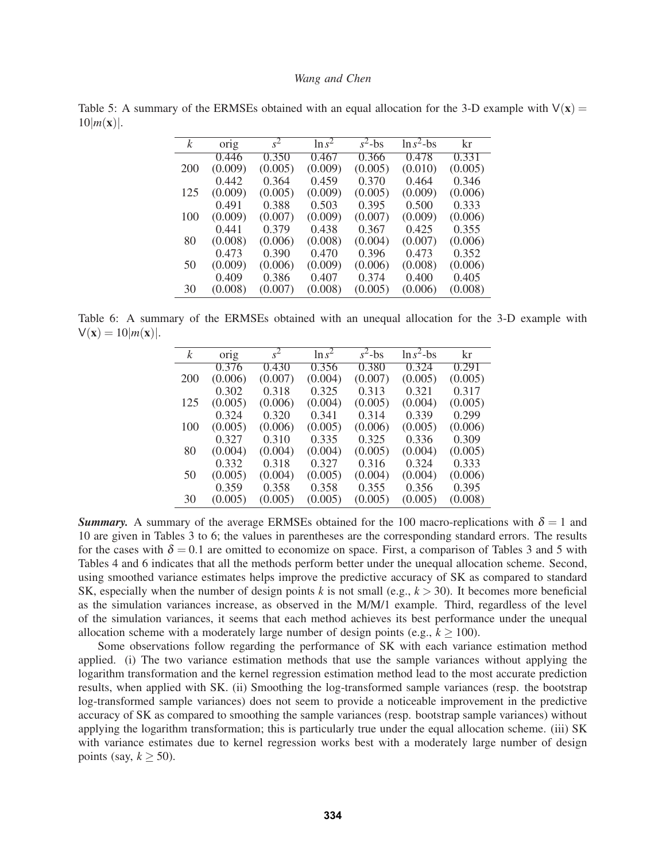Table 5: A summary of the ERMSEs obtained with an equal allocation for the 3-D example with  $V(x)$  =  $10|m(\mathbf{x})|$ .

| k   | $or_1g$ | $s^2$   | $\ln s^2$ | $s^2$ -bs | $\ln s^2$ -bs | kr      |
|-----|---------|---------|-----------|-----------|---------------|---------|
|     | 0.446   | 0.350   | 0.467     | 0.366     | 0.478         | 0.331   |
| 200 | (0.009) | (0.005) | (0.009)   | (0.005)   | (0.010)       | (0.005) |
|     | 0.442   | 0.364   | 0.459     | 0.370     | 0.464         | 0.346   |
| 125 | (0.009) | (0.005) | (0.009)   | (0.005)   | (0.009)       | (0.006) |
|     | 0.491   | 0.388   | 0.503     | 0.395     | 0.500         | 0.333   |
| 100 | (0.009) | (0.007) | (0.009)   | (0.007)   | (0.009)       | (0.006) |
|     | 0.441   | 0.379   | 0.438     | 0.367     | 0.425         | 0.355   |
| 80  | (0.008) | (0.006) | (0.008)   | (0.004)   | (0.007)       | (0.006) |
|     | 0.473   | 0.390   | 0.470     | 0.396     | 0.473         | 0.352   |
| 50  | (0.009) | (0.006) | (0.009)   | (0.006)   | (0.008)       | (0.006) |
|     | 0.409   | 0.386   | 0.407     | 0.374     | 0.400         | 0.405   |
| 30  | (0.008) | (0.007) | (0.008)   | (0.005)   | (0.006)       | (0.008) |

Table 6: A summary of the ERMSEs obtained with an unequal allocation for the 3-D example with  $V(x) = 10|m(x)|$ .

| k   | orig    | $s^2$   | $\ln s^2$ | $s^2$ -bs | $\ln s^2$ -bs | kr      |
|-----|---------|---------|-----------|-----------|---------------|---------|
|     | 0.376   | 0.430   | 0.356     | 0.380     | 0.324         | 0.291   |
| 200 | (0.006) | (0.007) | (0.004)   | (0.007)   | (0.005)       | (0.005) |
|     | 0.302   | 0.318   | 0.325     | 0.313     | 0.321         | 0.317   |
| 125 | (0.005) | (0.006) | (0.004)   | (0.005)   | (0.004)       | (0.005) |
|     | 0.324   | 0.320   | 0.341     | 0.314     | 0.339         | 0.299   |
| 100 | (0.005) | (0.006) | (0.005)   | (0.006)   | (0.005)       | (0.006) |
|     | 0.327   | 0.310   | 0.335     | 0.325     | 0.336         | 0.309   |
| 80  | (0.004) | (0.004) | (0.004)   | (0.005)   | (0.004)       | (0.005) |
|     | 0.332   | 0.318   | 0.327     | 0.316     | 0.324         | 0.333   |
| 50  | (0.005) | (0.004) | (0.005)   | (0.004)   | (0.004)       | (0.006) |
|     | 0.359   | 0.358   | 0.358     | 0.355     | 0.356         | 0.395   |
| 30  | (0.005) | (0.005) | (0.005)   | (0.005)   | (0.005)       | (0.008) |

*Summary.* A summary of the average ERMSEs obtained for the 100 macro-replications with  $\delta = 1$  and 10 are given in Tables 3 to 6; the values in parentheses are the corresponding standard errors. The results for the cases with  $\delta = 0.1$  are omitted to economize on space. First, a comparison of Tables 3 and 5 with Tables 4 and 6 indicates that all the methods perform better under the unequal allocation scheme. Second, using smoothed variance estimates helps improve the predictive accuracy of SK as compared to standard SK, especially when the number of design points *k* is not small (e.g.,  $k > 30$ ). It becomes more beneficial as the simulation variances increase, as observed in the M/M/1 example. Third, regardless of the level of the simulation variances, it seems that each method achieves its best performance under the unequal allocation scheme with a moderately large number of design points (e.g.,  $k \ge 100$ ).

Some observations follow regarding the performance of SK with each variance estimation method applied. (i) The two variance estimation methods that use the sample variances without applying the logarithm transformation and the kernel regression estimation method lead to the most accurate prediction results, when applied with SK. (ii) Smoothing the log-transformed sample variances (resp. the bootstrap log-transformed sample variances) does not seem to provide a noticeable improvement in the predictive accuracy of SK as compared to smoothing the sample variances (resp. bootstrap sample variances) without applying the logarithm transformation; this is particularly true under the equal allocation scheme. (iii) SK with variance estimates due to kernel regression works best with a moderately large number of design points (say,  $k > 50$ ).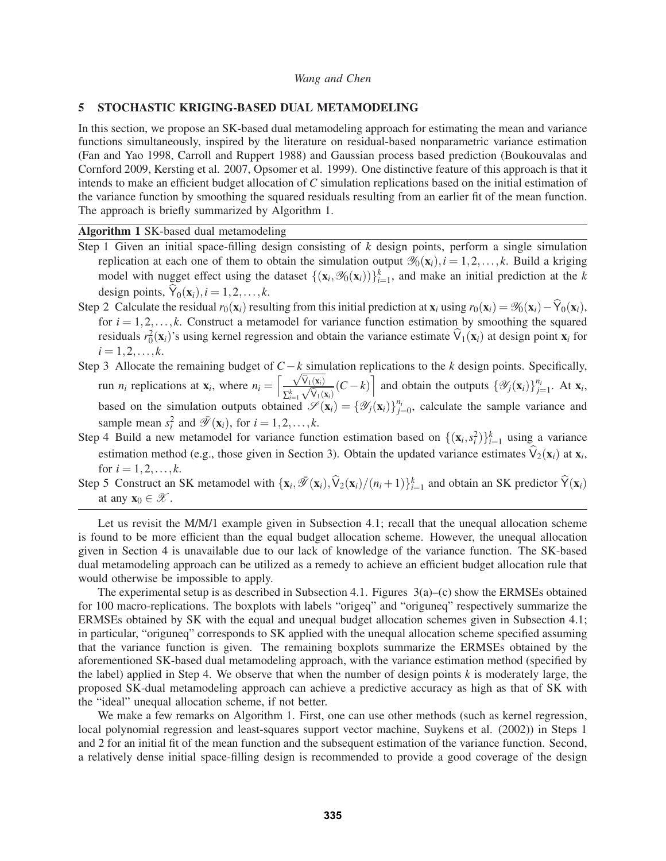#### 5 STOCHASTIC KRIGING-BASED DUAL METAMODELING

In this section, we propose an SK-based dual metamodeling approach for estimating the mean and variance functions simultaneously, inspired by the literature on residual-based nonparametric variance estimation (Fan and Yao 1998, Carroll and Ruppert 1988) and Gaussian process based prediction (Boukouvalas and Cornford 2009, Kersting et al. 2007, Opsomer et al. 1999). One distinctive feature of this approach is that it intends to make an efficient budget allocation of *C* simulation replications based on the initial estimation of the variance function by smoothing the squared residuals resulting from an earlier fit of the mean function. The approach is briefly summarized by Algorithm 1.

Algorithm 1 SK-based dual metamodeling

- Step 1 Given an initial space-filling design consisting of *k* design points, perform a single simulation replication at each one of them to obtain the simulation output  $\mathcal{Y}_0(\mathbf{x}_i)$ ,  $i = 1, 2, ..., k$ . Build a kriging model with nugget effect using the dataset  $\{(\mathbf{x}_i, \mathcal{Y}_0(\mathbf{x}_i))\}_{i=1}^k$ , and make an initial prediction at the *k* design points,  $\dot{Y}_0(\mathbf{x}_i)$ ,  $i = 1, 2, \dots, k$ .
- Step 2 Calculate the residual  $r_0(\mathbf{x}_i)$  resulting from this initial prediction at  $\mathbf{x}_i$  using  $r_0(\mathbf{x}_i) = \mathcal{Y}_0(\mathbf{x}_i) \hat{Y}_0(\mathbf{x}_i)$ , for  $i = 1, 2, \ldots, k$ . Construct a metamodel for variance function estimation by smoothing the squared residuals  $r_0^2(x_i)$ 's using kernel regression and obtain the variance estimate  $\hat{V}_1(x_i)$  at design point  $x_i$  for  $i = 1, 2, \ldots, k.$
- Step 3 Allocate the remaining budget of *C*−*k* simulation replications to the *k* design points. Specifically, run *n<sub>i</sub>* replications at  $\mathbf{x}_i$ , where  $n_i = \left[\frac{\sqrt{\hat{V}_1(\mathbf{x}_i)}}{\sqrt{\hat{V}_2(\mathbf{x}_i)}}\right]$  $\frac{\sqrt{\widehat{V}_1(\mathbf{x}_i)}}{\sum_{i=1}^k \sqrt{\widehat{V}_1(\mathbf{x}_i)}}$  (*C* − *k*) and obtain the outputs  $\{\mathscr{Y}_j(\mathbf{x}_i)\}_{j=1}^{n_i}$ . At  $\mathbf{x}_i$ , based on the simulation outputs obtained  $\mathscr{S}(\mathbf{x}_i) = {\mathscr{Y}_j(\mathbf{x}_i)}_{j=0}^{\bar{n}_i}$ , calculate the sample variance and sample mean  $s_i^2$  and  $\overline{\mathscr{Y}}(\mathbf{x}_i)$ , for  $i = 1, 2, ..., k$ .
- Step 4 Build a new metamodel for variance function estimation based on  $\{(\mathbf{x}_i, s_i^2)\}_{i=1}^k$  using a variance estimation method (e.g., those given in Section 3). Obtain the updated variance estimates  $\hat{V}_2(\mathbf{x}_i)$  at  $\mathbf{x}_i$ , for  $i = 1, 2, ..., k$ .
- Step 5 Construct an SK metamodel with  $\{x_i, \mathcal{F}(x_i), \hat{V}_2(x_i)/(n_i+1)\}_{i=1}^k$  and obtain an SK predictor  $\hat{V}(x_i)$ at any  $\mathbf{x}_0 \in \mathcal{X}$ .

Let us revisit the M/M/1 example given in Subsection 4.1; recall that the unequal allocation scheme is found to be more efficient than the equal budget allocation scheme. However, the unequal allocation given in Section 4 is unavailable due to our lack of knowledge of the variance function. The SK-based dual metamodeling approach can be utilized as a remedy to achieve an efficient budget allocation rule that would otherwise be impossible to apply.

The experimental setup is as described in Subsection 4.1. Figures  $3(a)$ –(c) show the ERMSEs obtained for 100 macro-replications. The boxplots with labels "origeq" and "origuneq" respectively summarize the ERMSEs obtained by SK with the equal and unequal budget allocation schemes given in Subsection 4.1; in particular, "origuneq" corresponds to SK applied with the unequal allocation scheme specified assuming that the variance function is given. The remaining boxplots summarize the ERMSEs obtained by the aforementioned SK-based dual metamodeling approach, with the variance estimation method (specified by the label) applied in Step 4. We observe that when the number of design points *k* is moderately large, the proposed SK-dual metamodeling approach can achieve a predictive accuracy as high as that of SK with the "ideal" unequal allocation scheme, if not better.

We make a few remarks on Algorithm 1. First, one can use other methods (such as kernel regression, local polynomial regression and least-squares support vector machine, Suykens et al. (2002)) in Steps 1 and 2 for an initial fit of the mean function and the subsequent estimation of the variance function. Second, a relatively dense initial space-filling design is recommended to provide a good coverage of the design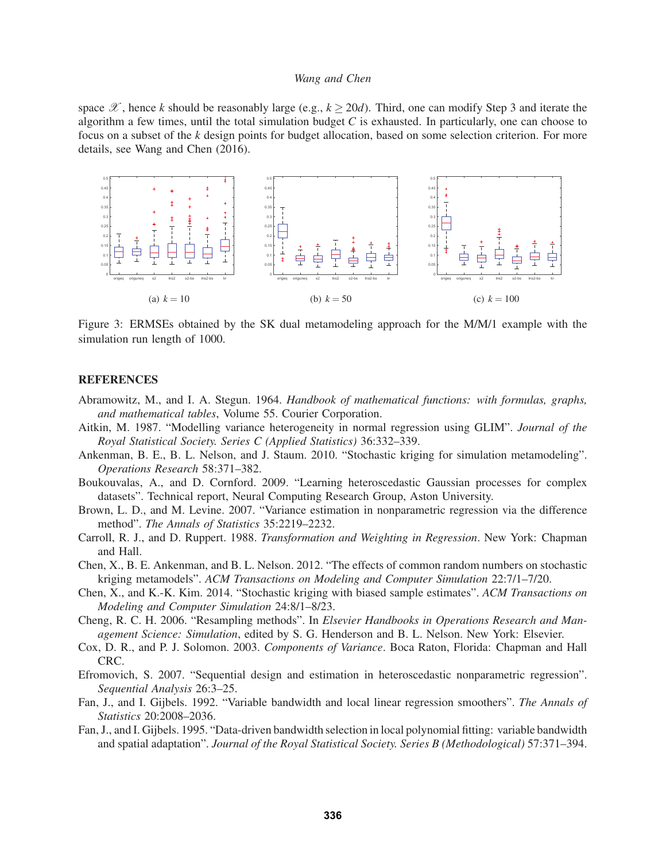space  $\mathscr X$ , hence *k* should be reasonably large (e.g.,  $k \ge 20d$ ). Third, one can modify Step 3 and iterate the algorithm a few times, until the total simulation budget  $C$  is exhausted. In particularly, one can choose to focus on a subset of the *k* design points for budget allocation, based on some selection criterion. For more details, see Wang and Chen (2016).



Figure 3: ERMSEs obtained by the SK dual metamodeling approach for the M/M/1 example with the simulation run length of 1000.

#### **REFERENCES**

- Abramowitz, M., and I. A. Stegun. 1964. *Handbook of mathematical functions: with formulas, graphs, and mathematical tables*, Volume 55. Courier Corporation.
- Aitkin, M. 1987. "Modelling variance heterogeneity in normal regression using GLIM". *Journal of the Royal Statistical Society. Series C (Applied Statistics)* 36:332–339.
- Ankenman, B. E., B. L. Nelson, and J. Staum. 2010. "Stochastic kriging for simulation metamodeling". *Operations Research* 58:371–382.
- Boukouvalas, A., and D. Cornford. 2009. "Learning heteroscedastic Gaussian processes for complex datasets". Technical report, Neural Computing Research Group, Aston University.
- Brown, L. D., and M. Levine. 2007. "Variance estimation in nonparametric regression via the difference method". *The Annals of Statistics* 35:2219–2232.
- Carroll, R. J., and D. Ruppert. 1988. *Transformation and Weighting in Regression*. New York: Chapman and Hall.
- Chen, X., B. E. Ankenman, and B. L. Nelson. 2012. "The effects of common random numbers on stochastic kriging metamodels". *ACM Transactions on Modeling and Computer Simulation* 22:7/1–7/20.
- Chen, X., and K.-K. Kim. 2014. "Stochastic kriging with biased sample estimates". *ACM Transactions on Modeling and Computer Simulation* 24:8/1–8/23.
- Cheng, R. C. H. 2006. "Resampling methods". In *Elsevier Handbooks in Operations Research and Management Science: Simulation*, edited by S. G. Henderson and B. L. Nelson. New York: Elsevier.
- Cox, D. R., and P. J. Solomon. 2003. *Components of Variance*. Boca Raton, Florida: Chapman and Hall CRC.
- Efromovich, S. 2007. "Sequential design and estimation in heteroscedastic nonparametric regression". *Sequential Analysis* 26:3–25.
- Fan, J., and I. Gijbels. 1992. "Variable bandwidth and local linear regression smoothers". *The Annals of Statistics* 20:2008–2036.
- Fan, J., and I. Gijbels. 1995. "Data-driven bandwidth selection in local polynomial fitting: variable bandwidth and spatial adaptation". *Journal of the Royal Statistical Society. Series B (Methodological)* 57:371–394.